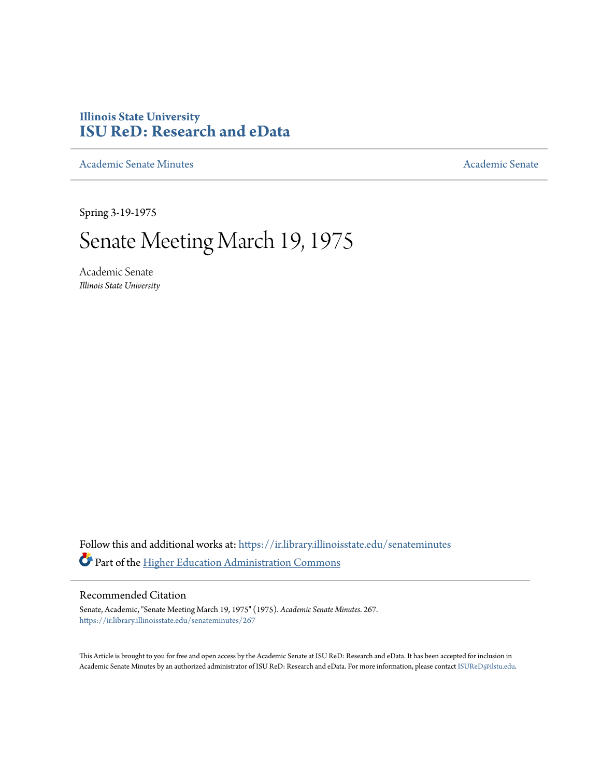## **Illinois State University [ISU ReD: Research and eData](https://ir.library.illinoisstate.edu?utm_source=ir.library.illinoisstate.edu%2Fsenateminutes%2F267&utm_medium=PDF&utm_campaign=PDFCoverPages)**

[Academic Senate Minutes](https://ir.library.illinoisstate.edu/senateminutes?utm_source=ir.library.illinoisstate.edu%2Fsenateminutes%2F267&utm_medium=PDF&utm_campaign=PDFCoverPages) [Academic Senate](https://ir.library.illinoisstate.edu/senate?utm_source=ir.library.illinoisstate.edu%2Fsenateminutes%2F267&utm_medium=PDF&utm_campaign=PDFCoverPages) Academic Senate

Spring 3-19-1975

# Senate Meeting March 19, 1975

Academic Senate *Illinois State University*

Follow this and additional works at: [https://ir.library.illinoisstate.edu/senateminutes](https://ir.library.illinoisstate.edu/senateminutes?utm_source=ir.library.illinoisstate.edu%2Fsenateminutes%2F267&utm_medium=PDF&utm_campaign=PDFCoverPages) Part of the [Higher Education Administration Commons](http://network.bepress.com/hgg/discipline/791?utm_source=ir.library.illinoisstate.edu%2Fsenateminutes%2F267&utm_medium=PDF&utm_campaign=PDFCoverPages)

#### Recommended Citation

Senate, Academic, "Senate Meeting March 19, 1975" (1975). *Academic Senate Minutes*. 267. [https://ir.library.illinoisstate.edu/senateminutes/267](https://ir.library.illinoisstate.edu/senateminutes/267?utm_source=ir.library.illinoisstate.edu%2Fsenateminutes%2F267&utm_medium=PDF&utm_campaign=PDFCoverPages)

This Article is brought to you for free and open access by the Academic Senate at ISU ReD: Research and eData. It has been accepted for inclusion in Academic Senate Minutes by an authorized administrator of ISU ReD: Research and eData. For more information, please contact [ISUReD@ilstu.edu.](mailto:ISUReD@ilstu.edu)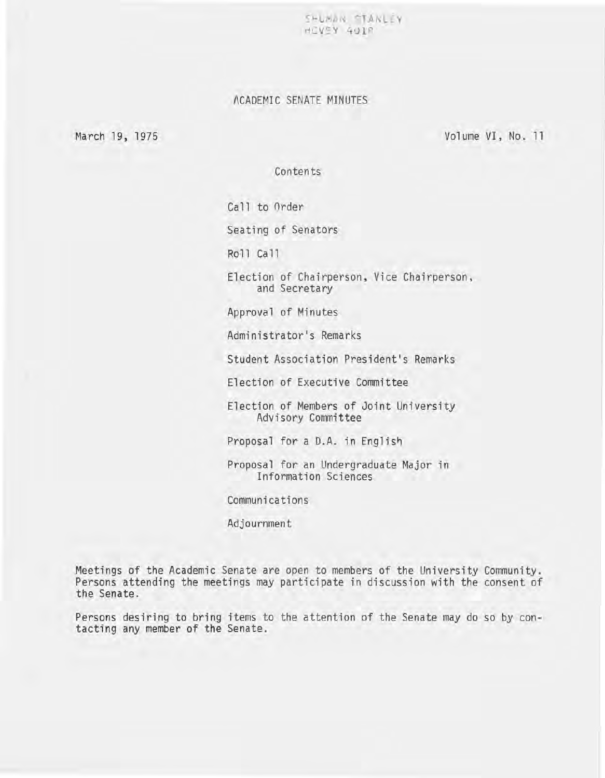SHLMAN STANLEY HCVEY 4U18

### ACADEMIC SENATE MINUTES

March 19, 1975

Volume VI, No. 11

Contents

Call to Order

Seating of Senators

Ro 11 Ca 11

Election of Chairperson, Vice Chairperson, and Secretary

Approval of Minutes

Administrator's Remarks

Student Association President's Remarks

Election of Executive Committee

Election of Members of Joint University Advisory Committee

Proposal for a D.A. in English

Proposal for an Undergraduate Major in Information Sciences

Communications

Adjournment

Meetings of the Academic Senate are open to members of the University Community. Persons attending the meetings may participate in discussion with the consent of the Senate.

Persons desiring to bring items to the attention of the Senate may do so by contacting any member of the Senate.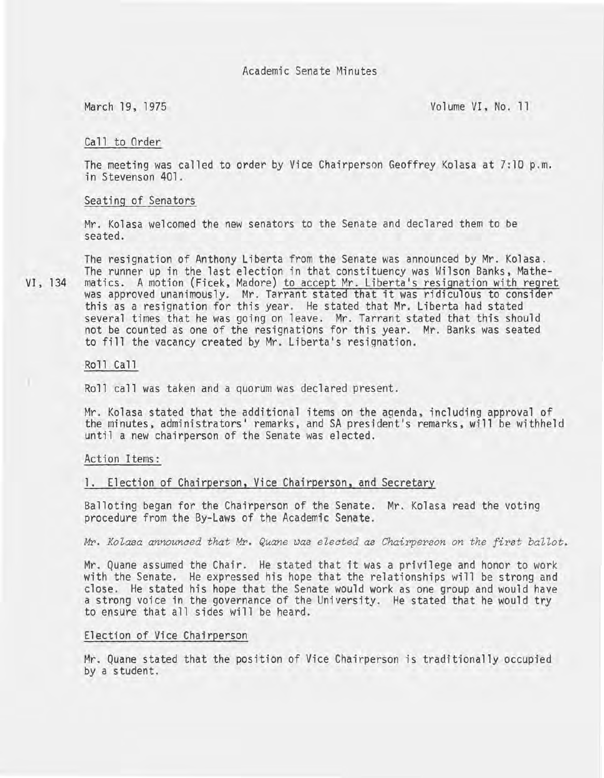March 19, 1975 Volume VI, No. 11

#### Call to Order

The meeting was called to order by Vice Chairperson Geoffrey Kolasa at 7:10 p.m. in Stevenson 401.

#### Seating of Senators

Mr. Kolasa welcomed the new senators to the Senate and declared them to be seated.

The resignation of Anthony Liberta from the Senate was announced by Mr. Kolasa. The runner up in the last election in that constituency was Wilson Banks, Mathe-VI, 134 matics. A motion (Ficek, Madore) to accept Mr. Liberta's resignation with regret was approved unanimously. Mr. Tarrant stated that it was ridiculous to consider this as a resignation for this year. He stated that Mr. Liberta had stated several times that he was going on leave. Mr. Tarrant stated that this should not be counted as one of the resignations for this year. Mr. Banks was seated to fill the vacancy created by Mr. Liberta's resignation.

#### Roll Call

Roll call was taken and a quorum was declared present.

Mr. Kolasa stated that the additional items on the agenda, including approval of the minutes, administrators' remarks, and SA president's remarks, will be withheld until a new chairperson of the Senate was elected.

#### Action Items:

#### 1. Election of Chairperson, Vice Chairperson, and Secretary

Balloting began for the Chairperson of the Senate. Mr. Kolasa read the voting procedure from the By-Laws of the Academic Senate.

*Mr. Kolasa announced that Mr. Quane was elected as Chairperson on the first ballot.* 

Mr. Quane assumed the Chair. He stated that it was a privilege and honor to work with the Senate. He expressed his hope that the relationships will be strong and close. He stated his hope that the Senate would work as one group and would have a strong voice in the governance of the University. He stated that he would try to ensure that all sides will be heard.

#### Election of Vice Chairperson

Mr. Quane stated that the position of Vice Chairperson is traditionally occupied by a student.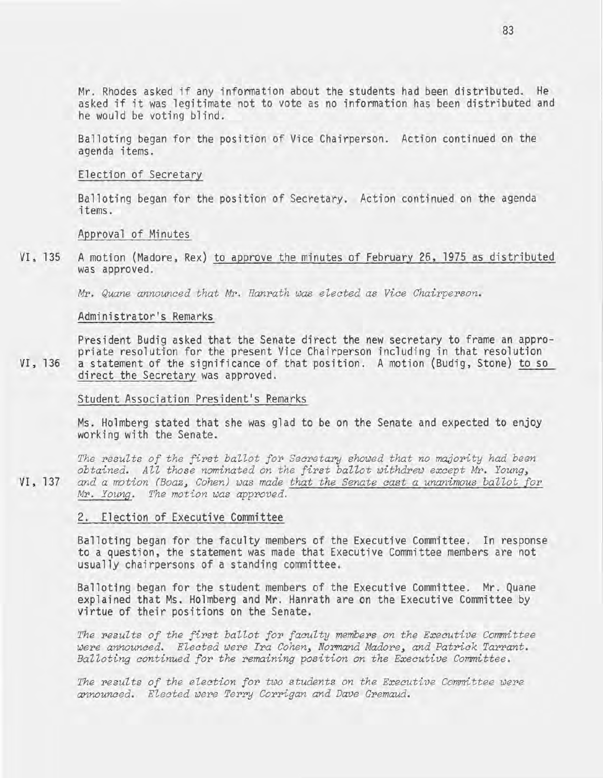**Mr. Rhodes asked if any information about the students had been distributed. He asked if it was legitimate not to vote as no information has been distributed and he would be voting blind.** 

**Balloting began for the position of Vice Chairperson. Action continued on the agenda items.** 

#### **Election of Secretary**

**Balloting began for the position of Secretary. Action continued on the agenda items.** 

**Approval of Minutes** 

**VI, 135 A motion (Madore, Rex) to approve the minutes of February 26, 1975 as distributed was approved.** 

Mr. *Quane announced that* Mr. *Hanrath was elected as Vice Chairperson.* 

#### **Administrator's Remarks**

**President Budig asked that the Senate direct the new secretary to frame an appropriate resolution for the present Vice Chairperson including in that resolution VI, 136 a statement of the significance of that position. A motion (Budig, Stone) to so direct the Secretary was approved.** 

**Student Association President's Remarks** 

**Ms. Holmberg stated that she was glad to be on the Senate and expected to enjoy working with the Senate.** 

*The results of the first ballot for Secretary showed that no majority had been obtained. All those nominated on the first ballot withdrew except* Mr. Young~ **VI, 137** *and a motion* (Boaz~ *Cohen) was made that the Senate cast a unanimous ballot for*  Mr. *Young. The motion was approved.* 

#### **2. Election of Executive Committee**

**Balloting began for the faculty members of the Executive Committee. In response to a question, the statement was made that Executive Committee members are not usually chairpersons of a standing committee.** 

**Balloting began for the student members of the Executive Committee. Mr. Quane explained that Ms. Holmberg and Mr. Hanrath are on the Executive Committee by virtue of their positions on the Senate.** 

*The results of the first ballot for faculty members on the Executive Committee were announced. Elected were Ira* Cohen~ *Normand* Madore~ *and Patrick Tarrant. Balloting continued for the remaining position on the Executive Committee.* 

The results of the election for two students on the Executive Committee were *announced. Elected were Terry Corrigan and Dave Gremaud.*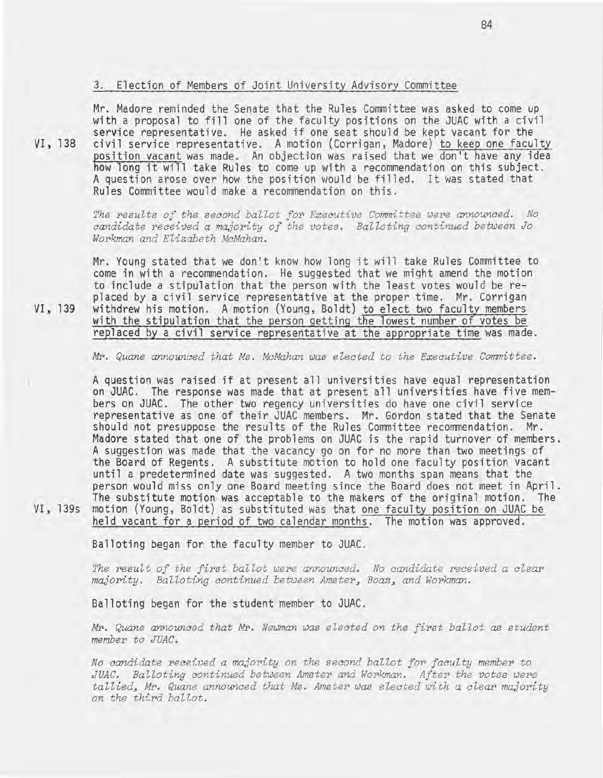#### **3. Election of Members of Jo int University Advisory Committee**

Mr. Madore reminded the Senate that the Rules Committee was asked to come up **with a proposal to fill one of the faculty positions on the JUAC with a civil service representative. He asked i f one seat should be kept vacant for the VI, 138 civil service representative. A motion (Corrigan, Madore) to keep one faculty position vacant was made. An objection was raised that we don't have any idea how long it will take Rules to come up with a recommendation on this subject.**  A question arose over how the position would be filled. It was stated that **Rules Committee would make a recommendation on this.** 

> *The results of the second ballot for Executive Committee were announced. No candidate received a majority of the votes. Balloting continued between Jo Workman and Elizabeth McMahan .*

**Mr. Young stated that we don't know how long it will take Rules Committee to come in with a recommendation. He suggested that we might amend the motion to include a stipulation that the person with the least votes would be re**placed by a civil service representative at the proper time. Mr. Corrigan **VI, 139 withdrew his motion. A motion (Young, Boldt}** to elect **two faculty members with the stipulation that the** person getting the lowest number **of votes be**  replaced by a civil service representative at the appropriate time was made.

*Mr. Quane announced t hat Ms . McMahan was elect ed to the Executive Committee .* 

**A question was raised if at present all universities have equal representation on JUAC. The response was made that at present all universities have five members on JUAC. The other two regency universities do have one civil service representative as one of their JUAC members. Mr. Gordon stated that the Senate should not presuppose the results of the Rules Committee recommendation. Mr. Madore stated that one of the problems on JUAC is the rapid turnover of members. A suggestion was made that the vacancy go on for no more than two meetings of the Board of Regents. A substitute motion to hold one faculty position vacant until a predetermined date was suggested. A two months span means that the**  person would miss only one Board meeting since the Board does not meet in April. **The substitute** motion was **acceptable to the makers of the original motion. The VI, 139s motion (Young, Boldt) as substituted was that one faculty position on JUAC be held vacant for a period of two calendar months. The motion was approved.** 

Balloting began for the faculty member to JUAC.

The result of the first ballot were announced. No candidate received a clear *majority.* Balloting continued between Amster, Boaz, and Workman.

Balloting began for the student member to JUAC.

*Mr. Quane announced that Mr. Newman was elected on the first ballot as student member to JUAC .* 

*No candidate received a majority on the second ballot for faculty member to JUAC. Balloting continued between Amster and Workman. After the votes were*  tallied, Mr. Quane announced that Ms. Amster was elected with a clear majority *on the third ballot.*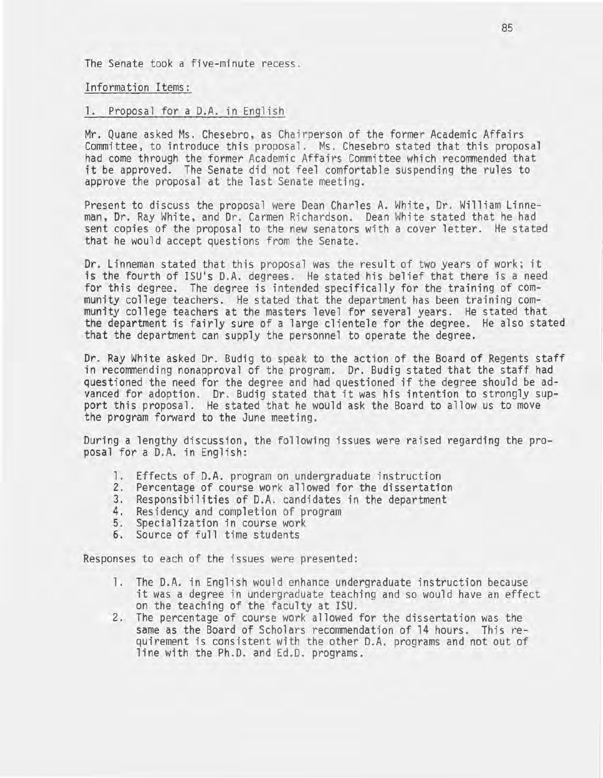The Senate took a five-minute recess .

Information Items:

#### 1. Proposal for a D.A. in English

Mr. Quane asked Ms. Chesebro, as Chairperson of the former Academic Affairs Committee, to introduce this proposal. Ms. Chesebro stated that this proposal had come through the former Academic Affairs Committee which recommended that it be approved. The Senate did not feel comfortable suspending the rules to approve the proposal at the last Senate meeting.

Present to discuss the proposal were Dean Charles A. White, Dr. William Linneman, Dr. Ray White, and Dr. Carmen Richardson. Dean White stated that he had sent copies of the proposal to the new senators with a cover letter. He stated that he would accept questions from the Senate.

Dr. Linneman stated that this proposal was the result of two years of work; it is the fourth of ISU's D.A. degrees. He stated his belief that there is a need for this degree. The degree is intended specifically for the training of community college teachers. He stated that the department has been training community college teachers at the masters level for several years. He stated that the department is fairly sure of a large clientele for the degree. He also stated that the department can supply the personnel to operate the degree.

Dr. Ray White asked Dr. Budig to speak to the action of the Board of Regents staff in recommending nonapproval of the program. Dr. Budig stated that the staff had questioned the need for the degree and had questioned if the degree should be advanced for adoption. Dr. Budig stated that it was his intention to strongly support this proposal. He stated that he would ask the Board to allow us to move the program forward to the June meeting.

During a lengthy discussion, the following issues were raised regarding the pro-<br>posal for a D.A. in English:

- 1. Effects of D.A. program on undergraduate instruction
- 2. Percentage of course work allowed for the dissertation
- 3. Responsibilities of D.A. candidates in the department
- 4. Residency and completion of program 5. Specialization in course work
- 
- 6. Source of full time students

Responses to each of the issues were presented:

- 1. The D.A. in English would enhance undergraduate instruction because it was a degree in undergraduate teaching and so would have an effect on the teaching of the faculty at ISU.
- 2. The percentage of course work allowed for the dissertation was the same as the Board of Scholars recommendation of 14 hours. This requirement is consistent with the other D.A. programs and not out of line with the Ph.D. and Ed.D. programs.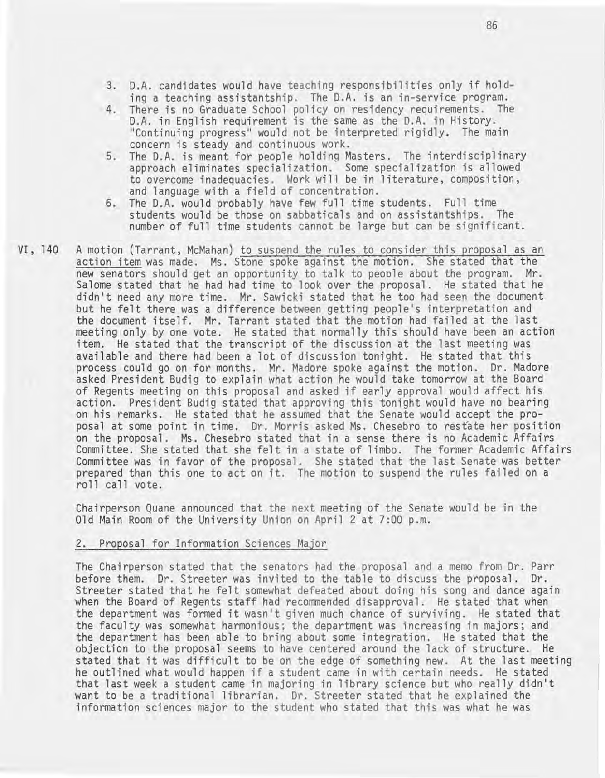- 3. D.A. candidates would have teaching responsibilities only if holding a teaching assistantship. The D.A. is an in-service program.
- 4. There is no Graduate School policy on residency requirements. The D.A. in English requirement is the same as the D.A. in History. "Continuing progress" would not be interpreted rigidly. The main concern is steady and continuous work.
- 5. The D.A. is meant for people holding Masters. The interdisciplinary approach eliminates specialization. Some specialization is allowed to overcome inadequacies. Work will be in literature, composition, and language with a field of concentration.
- 6. The D.A. would probably have few full time students. Full time students would be those on sabbaticals and on assistantships. The number of full time students cannot be large but can be significant.
- VI, 140 A motion (Tarrant, McMahan) to suspend the rules to consider this proposal as an action item was made. Ms. Stone spoke against the motion. She stated that the new senators should get an opportunity to talk to people about the program. Mr. Salome stated that he had had time to look over the proposal. He stated that he didn't need any more time. Mr. Sawicki stated that he too had seen the document but he felt there was a difference between getting people's interpretation and the document itself. Mr. Tarrant stated that the motion had failed at the last meeting only by one vote. He stated that normally this should have been an action item. He stated that the transcript of the discussion at the last meeting was available and there had been a lot of discussion tonight. He stated that this process could go on for months. Mr. Madore spoke against the motion. Dr. Madore asked President Budig to explain what action he would take tomorrow at the Board of Regents meeting on this proposal and asked if early approval would affect his action. President Budig stated that approving this tonight would have no bearing on his remarks. He stated that he assumed that the Senate would accept the proposal at some point in time. Dr. Morris asked Ms. Chesebro to restate her position on the proposal. Ms. Chesebro stated that in a sense there is no Academic Affairs Committee. She stated that she felt in a state of limbo. The former Academic Affairs Committee was in favor of the proposal. She stated that the last Senate was better prepared than this one to act on it. The motion to suspend the rules failed on a ro 11 ca 11 vote.

Chairperson Quane announced that the next meeting of the Senate would be in the Old Main Room of the University Union on April 2 at 7:00 p.m.

#### 2. Proposal for Information Sciences Major

The Chairperson stated that the senators had the proposal and a memo from Dr. Parr before them. Dr. Streeter was invited to the table to discuss the proposal. Dr. Streeter stated that he felt somewhat defeated about doing his song and dance again when the Board of Regents staff had recommended disapproval. He stated that when the department was formed it wasn't given much chance of surviving. He stated that the faculty was somewhat harmonious; the department was increasing in majors; and the department has been able to bring about some integration. He stated that the objection to the proposal seems to have centered around the lack of structure. He stated that it was difficult to be on the edge of something new. At the last meeting he outlined what would happen if a student came in with certain needs. He stated that last week a student came in majoring in library science but who really didn't want to be a traditional librarian. Dr. Streeter stated that he explained the information sciences major to the student who stated that this was what he was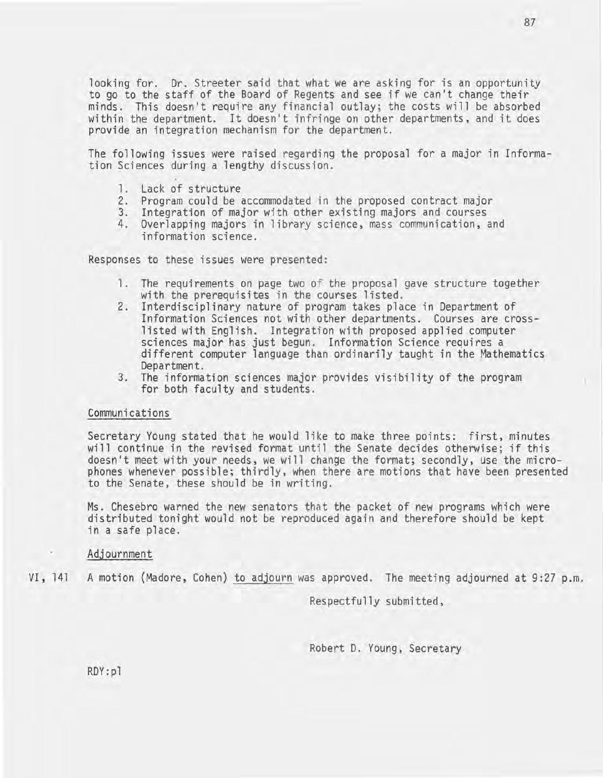looking for. Dr. Streeter said that what we are asking for is an opportunity to go to the staff of the Board of Regents and see if we can't change their minds. This doesn't require any financial outlay; the costs will be absorbed within the department. It doesn't infringe on other departments, and it does provide an integration mechanism for the department.

The following issues were raised regarding the proposal for a major in Information Sciences during a lengthy discussion.

- 1. Lack of structure
- 2. Program could be accommodated in the proposed contract major
- 3. Integration of major with other existing majors and courses
- 4. Overlapping majors in library science, mass communication, and information science .

Responses to these issues were presented:

- 1. The requirements on page two of the proposal gave structure together with the prerequisites in the courses listed.
- 2. Interdisciplinary nature of program takes place in Department of Information Sciences not with other departments. Courses are cross-<br>listed with English. Integration with proposed applied computer listed with English. Integration with proposed applied computer sciences major has just begun. Information Science requires a different computer language than ordinarily taught in the Mathematics
- Department. 3. The information sciences major provides visibility of the program for both faculty and students.

#### Communications

Secretary Young stated that he would like to make three points: first, minutes will continue in the revised format until the Senate decides otherwise; if this doesn't meet with your needs, we will change the format; secondly, use the microphones whenever possible; thirdly, when there are motions that have been presented to the Senate, these should be in writing.

Ms. Chesebro warned the new senators that the packet of new programs which were distributed tonight would not be reproduced again and therefore should be kept in a safe place.

#### Adjournment

VI, 141 A motion (Madore, Cohen) to adjourn was approved. The meeting adjourned at 9:27 p.m.

Respectfully submitted,

Robert D. Young, Secretary

RDY:pl